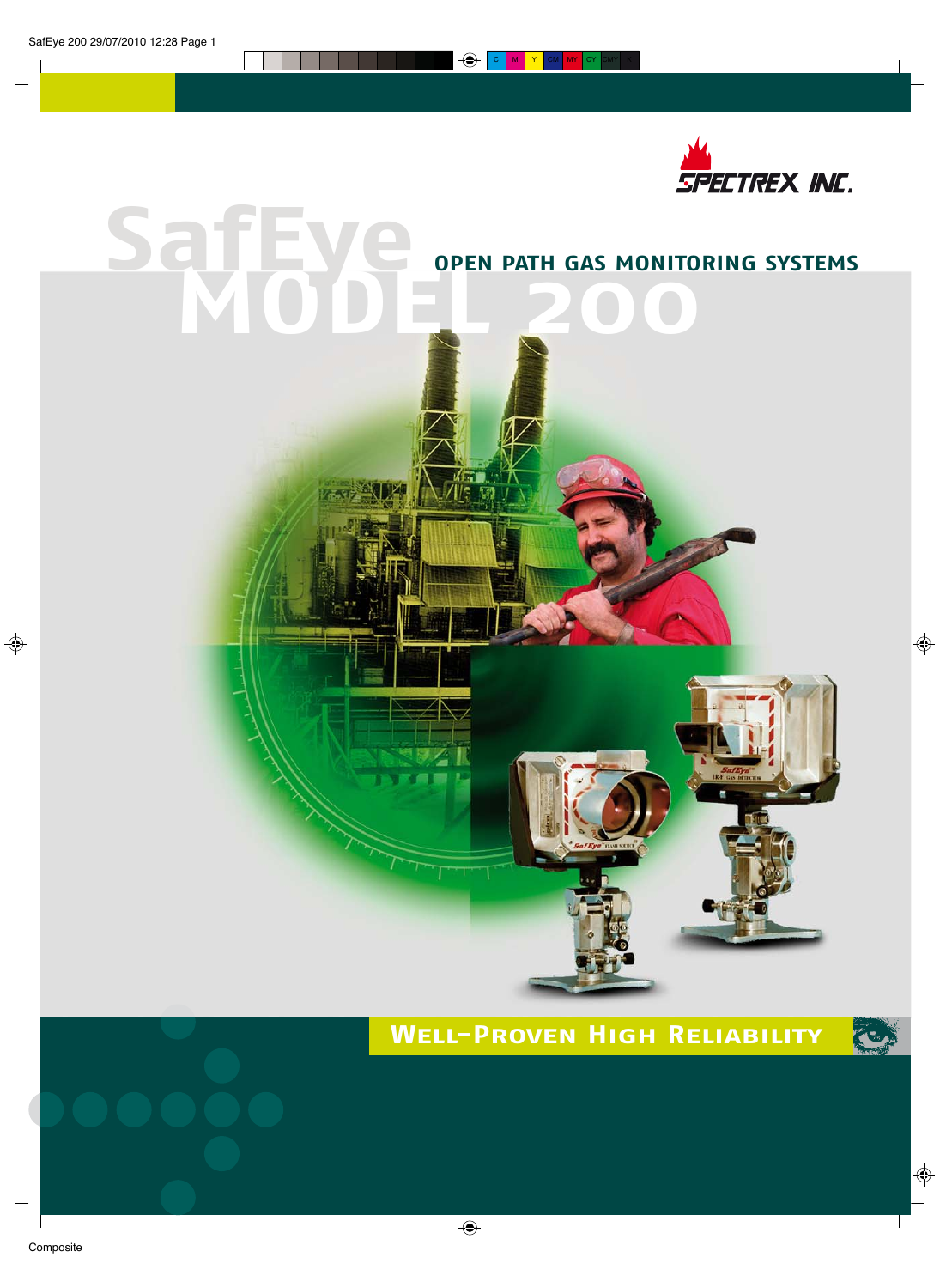

# **Sajiay** OPEN PATH GAS MONITORING SYSTEMS

KETO.<br>Ale tr

# **WELL-PROVEN HIGH RELIABILITY**

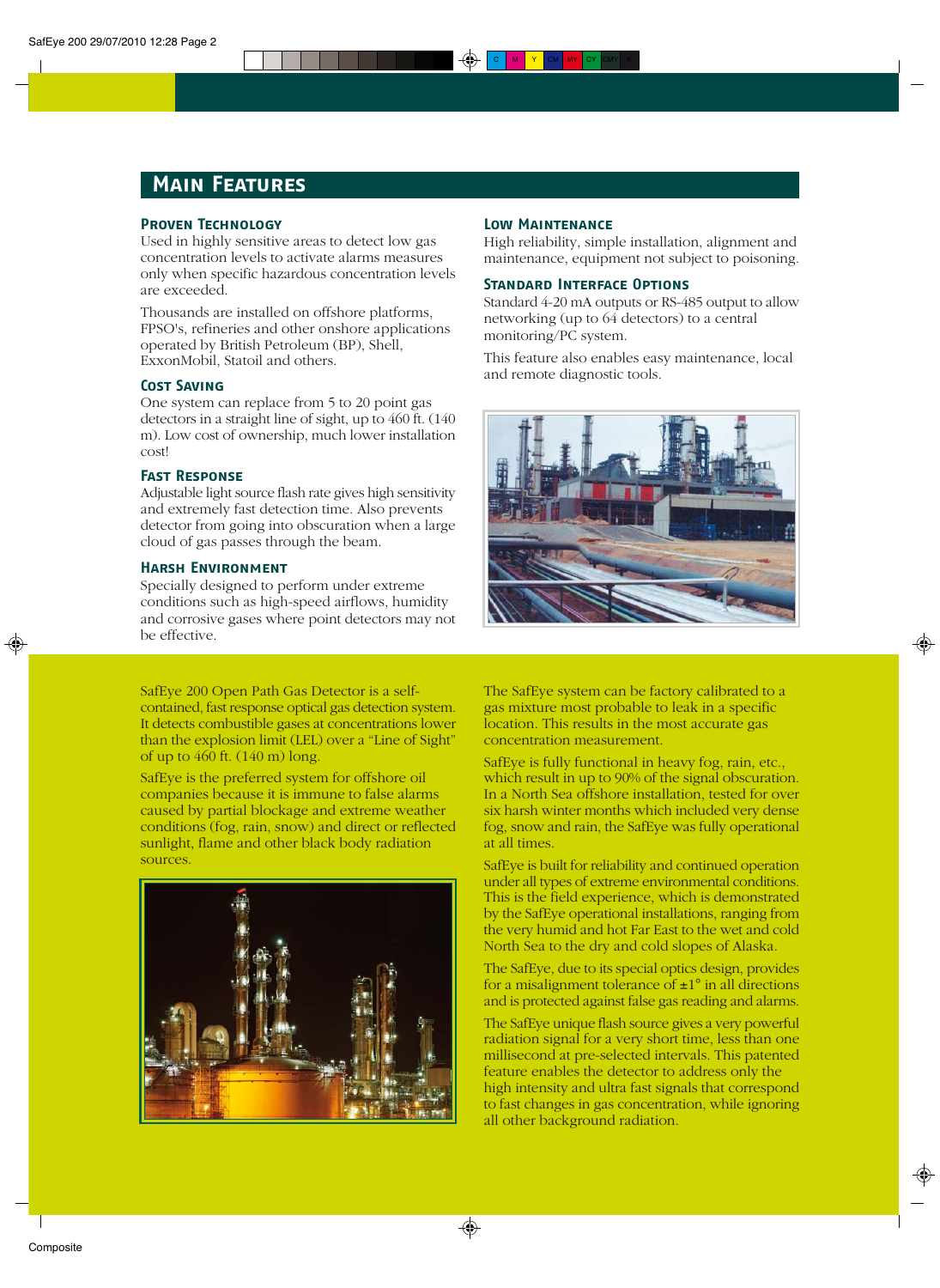## **Main Features**

## **Proven Technology**

Used in highly sensitive areas to detect low gas concentration levels to activate alarms measures only when specific hazardous concentration levels are exceeded.

Thousands are installed on offshore platforms, FPSO's, refineries and other onshore applications operated by British Petroleum (BP), Shell, ExxonMobil, Statoil and others.

### **Cost Saving**

One system can replace from 5 to 20 point gas detectors in a straight line of sight, up to 460 ft. (140 m). Low cost of ownership, much lower installation cost!

#### **Fast Response**

Adjustable light source flash rate gives high sensitivity and extremely fast detection time. Also prevents detector from going into obscuration when a large cloud of gas passes through the beam.

#### **Harsh Environment**

Specially designed to perform under extreme conditions such as high-speed airflows, humidity and corrosive gases where point detectors may not be effective.

SafEye 200 Open Path Gas Detector is a selfcontained, fast response optical gas detection system. It detects combustible gases at concentrations lower than the explosion limit (LEL) over a "Line of Sight" of up to 460 ft. (140 m) long.

SafEye is the preferred system for offshore oil companies because it is immune to false alarms caused by partial blockage and extreme weather conditions (fog, rain, snow) and direct or reflected sunlight, flame and other black body radiation sources.



## **Low Maintenance**

High reliability, simple installation, alignment and maintenance, equipment not subject to poisoning.

#### **Standard Interface Options**

Standard 4-20 mA outputs or RS-485 output to allow networking (up to 64 detectors) to a central monitoring/PC system.

This feature also enables easy maintenance, local and remote diagnostic tools.



The SafEye system can be factory calibrated to a gas mixture most probable to leak in a specific location. This results in the most accurate gas concentration measurement.

SafEye is fully functional in heavy fog, rain, etc., which result in up to 90% of the signal obscuration. In a North Sea offshore installation, tested for over six harsh winter months which included very dense fog, snow and rain, the SafEye was fully operational at all times.

SafEye is built for reliability and continued operation under all types of extreme environmental conditions. This is the field experience, which is demonstrated by the SafEye operational installations, ranging from the very humid and hot Far East to the wet and cold North Sea to the dry and cold slopes of Alaska.

The SafEye, due to its special optics design, provides for a misalignment tolerance of  $\pm 1^{\circ}$  in all directions and is protected against false gas reading and alarms.

The SafEye unique flash source gives a very powerful radiation signal for a very short time, less than one millisecond at pre-selected intervals. This patented feature enables the detector to address only the high intensity and ultra fast signals that correspond to fast changes in gas concentration, while ignoring all other background radiation.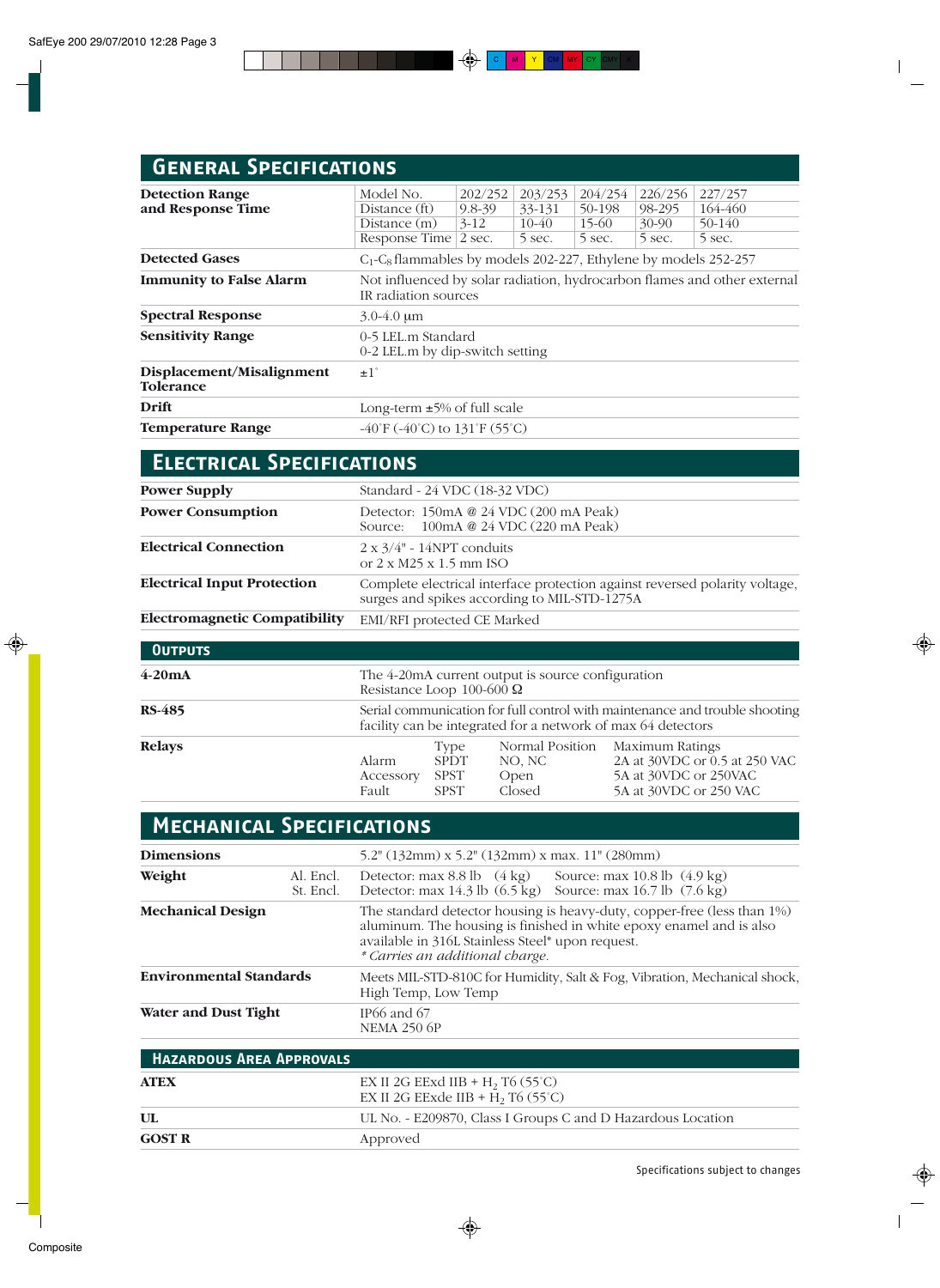# **General Specifications**

**GOST R**

| <b>Detection Range</b><br>and Response Time   | Model No.<br>Distance (ft)<br>Distance $(m)$<br>Response Time 2 sec.                             | 202/252<br>$9.8 - 39$<br>$3-12$ | 203/253<br>33-131<br>$10-40$<br>5 sec. | 204/254<br>50-198<br>$15-60$<br>5 sec. | 226/256<br>98-295<br>$30 - 90$<br>5 sec. | 227/257<br>164-460<br>50-140<br>5 sec. |
|-----------------------------------------------|--------------------------------------------------------------------------------------------------|---------------------------------|----------------------------------------|----------------------------------------|------------------------------------------|----------------------------------------|
| <b>Detected Gases</b>                         | $C_1$ - $C_8$ flammables by models 202-227, Ethylene by models 252-257                           |                                 |                                        |                                        |                                          |                                        |
| <b>Immunity to False Alarm</b>                | Not influenced by solar radiation, hydrocarbon flames and other external<br>IR radiation sources |                                 |                                        |                                        |                                          |                                        |
| <b>Spectral Response</b>                      | $3.0 - 4.0$ um                                                                                   |                                 |                                        |                                        |                                          |                                        |
| <b>Sensitivity Range</b>                      | 0-5 LEL.m Standard<br>0-2 LEL.m by dip-switch setting                                            |                                 |                                        |                                        |                                          |                                        |
| Displacement/Misalignment<br><b>Tolerance</b> | $\pm 1$ °                                                                                        |                                 |                                        |                                        |                                          |                                        |
| Drift                                         | Long-term $\pm 5\%$ of full scale                                                                |                                 |                                        |                                        |                                          |                                        |
| <b>Temperature Range</b>                      | $-40^{\circ}$ F ( $-40^{\circ}$ C) to 131 $^{\circ}$ F (55 $^{\circ}$ C)                         |                                 |                                        |                                        |                                          |                                        |

| <b>ELECTRICAL SPECIFICATIONS</b>     |                                                                                                                             |  |  |  |  |
|--------------------------------------|-----------------------------------------------------------------------------------------------------------------------------|--|--|--|--|
| <b>Power Supply</b>                  | Standard - 24 VDC (18-32 VDC)                                                                                               |  |  |  |  |
| <b>Power Consumption</b>             | Detector: 150mA @ 24 VDC (200 mA Peak)<br>Source: 100mA @ 24 VDC (220 mA Peak)                                              |  |  |  |  |
| <b>Electrical Connection</b>         | $2 \times 3/4$ " - 14NPT conduits<br>or $2 \times M25 \times 1.5$ mm ISO                                                    |  |  |  |  |
| <b>Electrical Input Protection</b>   | Complete electrical interface protection against reversed polarity voltage,<br>surges and spikes according to MIL-STD-1275A |  |  |  |  |
| <b>Electromagnetic Compatibility</b> | EMI/RFI protected CE Marked                                                                                                 |  |  |  |  |
| <b>OUTPUTS</b>                       |                                                                                                                             |  |  |  |  |
| $4-20mA$                             | The 4-20 mA current output is source configuration<br>Resistance Loop 100-600 $\Omega$                                      |  |  |  |  |

| <b>RS-485</b><br><b>Relays</b> |           | Serial communication for full control with maintenance and trouble shooting<br>facility can be integrated for a network of max 64 detectors |        |                                 |  |  |  |
|--------------------------------|-----------|---------------------------------------------------------------------------------------------------------------------------------------------|--------|---------------------------------|--|--|--|
|                                |           | Type                                                                                                                                        |        | Normal Position Maximum Ratings |  |  |  |
|                                | Alarm     | <b>SPDT</b>                                                                                                                                 | NO. NC | 2A at 30VDC or 0.5 at 250 VAC   |  |  |  |
|                                | Accessory | SPST                                                                                                                                        | Open   | 5A at 30VDC or 250VAC           |  |  |  |
|                                | Fault     | <b>SPST</b>                                                                                                                                 | Closed | 5A at 30VDC or 250 VAC          |  |  |  |

| <b>MECHANICAL SPECIFICATIONS</b> |                                 |                                                                                                                                                                                                                                       |  |  |  |  |  |
|----------------------------------|---------------------------------|---------------------------------------------------------------------------------------------------------------------------------------------------------------------------------------------------------------------------------------|--|--|--|--|--|
| <b>Dimensions</b>                |                                 | 5.2" $(132 \text{mm}) \times 5.2$ " $(132 \text{mm}) \times \text{max}$ . 11" $(280 \text{mm})$                                                                                                                                       |  |  |  |  |  |
| Weight                           | Al. Encl.<br>St. Encl.          | Detector: max 8.8 lb (4 kg) Source: max 10.8 lb (4.9 kg)<br>Detector: max 14.3 lb (6.5 kg) Source: max 16.7 lb (7.6 kg)                                                                                                               |  |  |  |  |  |
| <b>Mechanical Design</b>         |                                 | The standard detector housing is heavy-duty, copper-free (less than 1%)<br>aluminum. The housing is finished in white epoxy enamel and is also<br>available in 316L Stainless Steel* upon request.<br>* Carries an additional charge. |  |  |  |  |  |
| <b>Environmental Standards</b>   |                                 | Meets MIL-STD-810C for Humidity, Salt & Fog, Vibration, Mechanical shock,<br>High Temp, Low Temp                                                                                                                                      |  |  |  |  |  |
| <b>Water and Dust Tight</b>      |                                 | IP <sub>66</sub> and $67$<br><b>NEMA 250 6P</b>                                                                                                                                                                                       |  |  |  |  |  |
|                                  | <b>HAZARDOUS AREA APPROVALS</b> |                                                                                                                                                                                                                                       |  |  |  |  |  |
| <b>ATEX</b>                      |                                 | EX II 2G EExd IIB + $H_2$ T <sub>6</sub> (55°C)<br>EX II 2G EExde IIB + H <sub>2</sub> T <sub>6</sub> (55°C)                                                                                                                          |  |  |  |  |  |
| $\mathbf{UL}$                    |                                 | UL No. - E209870, Class I Groups C and D Hazardous Location                                                                                                                                                                           |  |  |  |  |  |

Approved